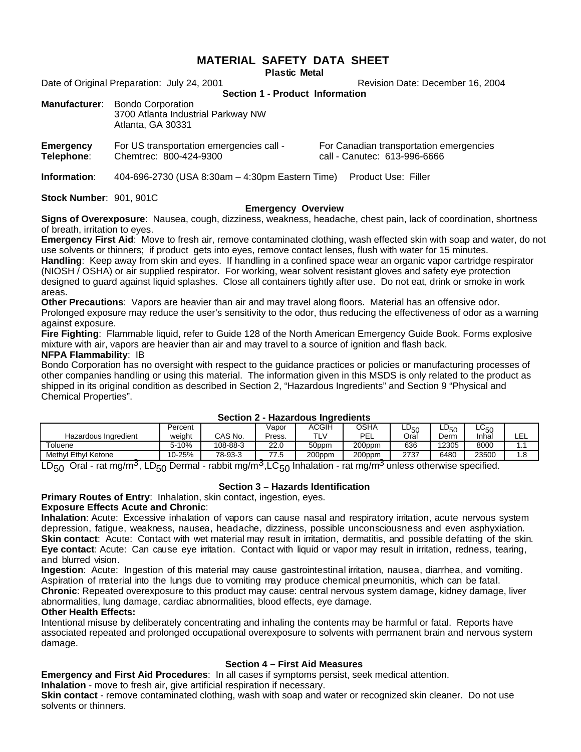# **MATERIAL SAFETY DATA SHEET**

**Plastic Metal** 

Date of Original Preparation: July 24, 2001 Marchannel Bushell Revision Date: December 16, 2004

**Section 1 - Product Information**

| <b>Manufacturer:</b> Bondo Corporation                  |  |  |  |  |  |
|---------------------------------------------------------|--|--|--|--|--|
| 3700 Atlanta Industrial Parkway NW<br>Atlanta, GA 30331 |  |  |  |  |  |
|                                                         |  |  |  |  |  |

| Emergency  | For US transportation emergencies call - |
|------------|------------------------------------------|
| Telephone: | Chemtrec: 800-424-9300                   |

For Canadian transportation emergencies call - Canutec: 613-996-6666

**Information**: 404-696-2730 (USA 8:30am – 4:30pm Eastern Time) Product Use: Filler

**Stock Number**:901, 901C

#### **Emergency Overview**

**Signs of Overexposure**: Nausea, cough, dizziness, weakness, headache, chest pain, lack of coordination, shortness of breath, irritation to eyes.

**Emergency First Aid**: Move to fresh air, remove contaminated clothing, wash effected skin with soap and water, do not use solvents or thinners; if product gets into eyes, remove contact lenses, flush with water for 15 minutes.

**Handling**: Keep away from skin and eyes. If handling in a confined space wear an organic vapor cartridge respirator (NIOSH / OSHA) or air supplied respirator. For working, wear solvent resistant gloves and safety eye protection designed to guard against liquid splashes. Close all containers tightly after use. Do not eat, drink or smoke in work areas.

**Other Precautions**: Vapors are heavier than air and may travel along floors. Material has an offensive odor. Prolonged exposure may reduce the user's sensitivity to the odor, thus reducing the effectiveness of odor as a warning against exposure.

**Fire Fighting**: Flammable liquid, refer to Guide 128 of the North American Emergency Guide Book. Forms explosive mixture with air, vapors are heavier than air and may travel to a source of ignition and flash back.

# **NFPA Flammability**: IB

Bondo Corporation has no oversight with respect to the guidance practices or policies or manufacturing processes of other companies handling or using this material. The information given in this MSDS is only related to the product as shipped in its original condition as described in Section 2, "Hazardous Ingredients" and Section 9 "Physical and Chemical Properties".

| OGGUUT L<br>TRADI GOUS THUI CUICHLS |         |          |            |        |        |        |       |       |     |  |  |  |
|-------------------------------------|---------|----------|------------|--------|--------|--------|-------|-------|-----|--|--|--|
|                                     | Percent |          | Vapor      | ACGIH  | OSHA   | $-150$ | ∟U50  | ∟∪ह∩  |     |  |  |  |
| Hazardous Ingredient                | weight  | CAS No.  | Press.     | TLV    | PEL    | Oral   | Derm  | Inha  | LEL |  |  |  |
| Toluene                             | 5-10%   | 108-88-3 | 22.0       | 50ppm  | 200ppm | 636    | 12305 | 8000  |     |  |  |  |
| Methyl Ethyl Ketone                 | 10-25%  | 78-93-3  | 77 F<br>ں. | 200ppm | 200ppm | 2737   | 6480  | 23500 | ı.o |  |  |  |

#### **Section 2 - Hazardous Ingredients**

LD<sub>50</sub> Oral - rat mg/m<sup>3</sup>, LD<sub>50</sub> Dermal - rabbit mg/m<sup>3</sup>,LC<sub>50</sub> Inhalation - rat mg/m<sup>3</sup> unless otherwise specified.

#### **Section 3 – Hazards Identification**

# **Primary Routes of Entry**: Inhalation, skin contact, ingestion, eyes.

## **Exposure Effects Acute and Chronic**:

**Inhalation**: Acute: Excessive inhalation of vapors can cause nasal and respiratory irritation, acute nervous system depression, fatigue, weakness, nausea, headache, dizziness, possible unconsciousness and even asphyxiation. **Skin contact:** Acute: Contact with wet material may result in irritation, dermatitis, and possible defatting of the skin. Eye contact: Acute: Can cause eye irritation. Contact with liquid or vapor may result in irritation, redness, tearing, and blurred vision.

**Ingestion**: Acute: Ingestion of this material may cause gastrointestinal irritation, nausea, diarrhea, and vomiting. A spiration of material into the lungs due to vomiting may produce chemical pneumonitis, which can be fatal. **Chronic**: Repeated overexposure to this product may cause: central nervous system damage, kidney damage, liver abnormalities, lung damage, cardiac abnormalities, blood effects, eye damage. **Other Health Effects:**

Intentional misuse by deliberately concentrating and inhaling the contents may be harmful or fatal. Reports have associated repeated and prolonged occupational overexposure to solvents with permanent brain and nervous system damage.

#### **Section 4 – First Aid Measures**

**Emergency and First Aid Procedures**: In all cases if symptoms persist, seek medical attention.

**Inhalation** - move to fresh air, give artificial respiration if necessary.

**Skin contact** - remove contaminated clothing, wash with soap and water or recognized skin cleaner. Do not use solvents or thinners.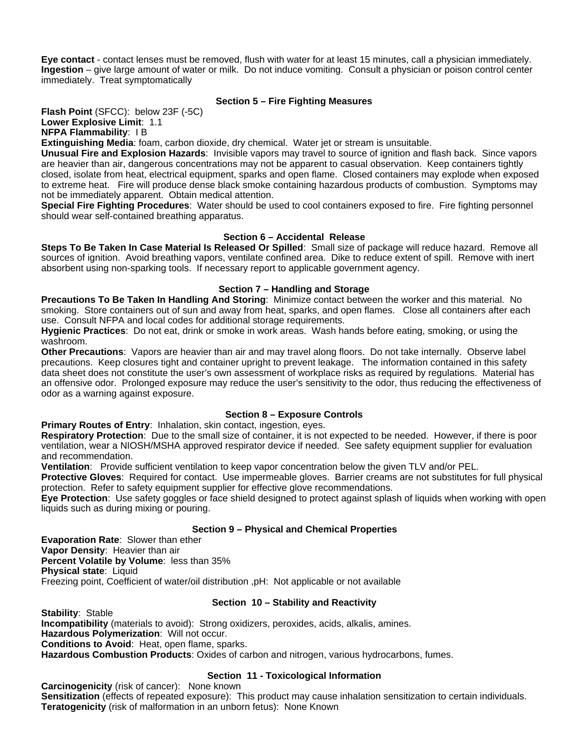**Eye contact** - contact lenses must be removed, flush with water for at least 15 minutes, call a physician immediately. **Ingestion** – give large amount of water or milk. Do not induce vomiting. Consult a physician or poison control center immediately. Treat symptomatically

# **Section 5 – Fire Fighting Measures**

**Flash Point** (SFCC): below 23F (-5C) **Lower Explosive Limit**: 1.1

**NFPA Flammability**: I B

**Extinguishing Media**: foam, carbon dioxide, dry chemical. Water jet or stream is unsuitable.

**Unusual Fire and Explosion Hazards**: Invisible vapors may travel to source of ignition and flash back. Since vapors are heavier than air, dangerous concentrations may not be apparent to casual observation. Keep containers tightly closed, isolate from heat, electrical equipment, sparks and open flame. Closed containers may explode when exposed to extreme heat. Fire will produce dense black smoke containing hazardous products of combustion. Symptoms may not be immediately apparent. Obtain medical attention.

**Special Fire Fighting Procedures**: Water should be used to cool containers exposed to fire. Fire fighting personnel should wear self-contained breathing apparatus.

# **Section 6 – Accidental Release**

**Steps To Be Taken In Case Material Is Released Or Spilled**: Small size of package will reduce hazard. Remove all sources of ignition. Avoid breathing vapors, ventilate confined area. Dike to reduce extent of spill. Remove with inert absorbent using non-sparking tools. If necessary report to applicable government agency.

# **Section 7 – Handling and Storage**

**Precautions To Be Taken In Handling And Storing**: Minimize contact between the worker and this material. No smoking. Store containers out of sun and away from heat, sparks, and open flames. Close all containers after each use. Consult NFPA and local codes for additional storage requirements.

**Hygienic Practices**: Do not eat, drink or smoke in work areas. Wash hands before eating, smoking, or using the washroom.

**Other Precautions**: Vapors are heavier than air and may travel along floors. Do not take internally. Observe label precautions. Keep closures tight and container upright to prevent leakage. The information contained in this safety data sheet does not constitute the user's own assessment of workplace risks as required by regulations. Material has an offensive odor. Prolonged exposure may reduce the user's sensitivity to the odor, thus reducing the effectiveness of odor as a warning against exposure.

# **Section 8 – Exposure Controls**

**Primary Routes of Entry: Inhalation, skin contact, ingestion, eyes.** 

**Respiratory Protection**: Due to the small size of container, it is not expected to be needed. However, if there is poor ventilation, wear a NIOSH/MSHA approved respirator device if needed. See safety equipment supplier for evaluation and recommendation.

**Ventilation**: Provide sufficient ventilation to keep vapor concentration below the given TLV and/or PEL.

**Protective Gloves**: Required for contact. Use impermeable gloves. Barrier creams are not substitutes for full physical protection. Refer to safety equipment supplier for effective glove recommendations.

**Eye Protection**: Use safety goggles or face shield designed to protect against splash of liquids when working with open liquids such as during mixing or pouring.

#### **Section 9 – Physical and Chemical Properties**

**Evaporation Rate**: Slower than ether **Vapor Density**: Heavier than air **Percent Volatile by Volume**: less than 35% **Physical state**: Liquid Freezing point, Coefficient of water/oil distribution ,pH: Not applicable or not available

#### **Section 10 – Stability and Reactivity**

**Stability**: Stable **Incompatibility** (materials to avoid): Strong oxidizers, peroxides, acids, alkalis, amines. **Hazardous Polymerization**: Will not occur. **Conditions to Avoid**: Heat, open flame, sparks. **Hazardous Combustion Products**: Oxides of carbon and nitrogen, various hydrocarbons, fumes.

# **Section 11 - Toxicological Information**

**Carcinogenicity** (risk of cancer): None known **Sensitization** (effects of repeated exposure): This product may cause inhalation sensitization to certain individuals. **Teratogenicity** (risk of malformation in an unborn fetus): None Known